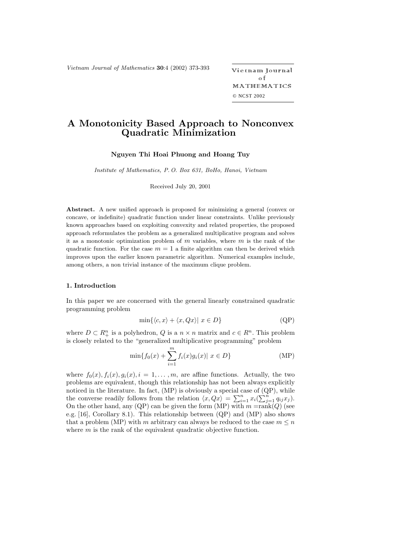*Vietnam Journal of Mathematics* **<sup>30</sup>**:4 (2002) 373-393 -

etnam Journal o f MATHEMATICS © NCST 2002

# **A Monotonicity Based Approach to Nonconvex Quadratic Minimization**

**Nguyen Thi Hoai Phuong and Hoang Tuy**

*Institute of Mathematics, P. O. Box 631, BoHo, Hanoi, Vietnam*

Received July 20, 2001

**Abstract.** A new unified approach is proposed for minimizing a general (convex or concave, or indefinite) quadratic function under linear constraints. Unlike previously known approaches based on exploiting convexity and related properties, the proposed approach reformulates the problem as a generalized multiplicative program and solves it as a monotonic optimization problem of  $m$  variables, where  $m$  is the rank of the quadratic function. For the case  $m = 1$  a finite algorithm can then be derived which improves upon the earlier known parametric algorithm. Numerical examples include, among others, a non trivial instance of the maximum clique problem.

# **1. Introduction**

In this paper we are concerned with the general linearly constrained quadratic programming problem

$$
\min\{\langle c, x \rangle + \langle x, Qx \rangle \mid x \in D\}
$$
 (QP)

where  $D \subset R^n_+$  is a polyhedron,  $Q$  is a  $n \times n$  matrix and  $c \in R^n$ . This problem is closely related to the "generalized multiplicative programming" problem

$$
\min\{f_0(x) + \sum_{i=1}^m f_i(x)g_i(x)| \ x \in D\}
$$
 (MP)

where  $f_0(x)$ ,  $f_i(x)$ ,  $g_i(x)$ ,  $i = 1, \ldots, m$ , are affine functions. Actually, the two problems are equivalent, though this relationship has not been always explicitly noticed in the literature. In fact, (MP) is obviously a special case of (QP), while the converse readily follows from the relation  $\langle x, Qx \rangle = \sum_{i=1}^n x_i (\sum_{j=1}^n q_{ij} x_j).$ On the other hand, any (QP) can be given the form (MP) with  $m = rank(Q)$  (see e.g. [16], Corollary 8.1). This relationship between (QP) and (MP) also shows that a problem (MP) with m arbitrary can always be reduced to the case  $m \leq n$ where  $m$  is the rank of the equivalent quadratic objective function.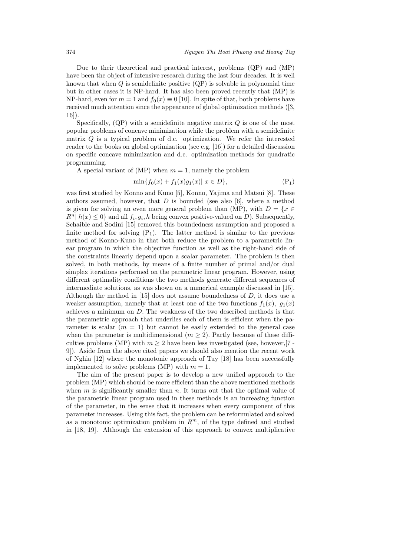Due to their theoretical and practical interest, problems (QP) and (MP) have been the object of intensive research during the last four decades. It is well known that when  $Q$  is semidefinite positive  $(QP)$  is solvable in polynomial time but in other cases it is NP-hard. It has also been proved recently that (MP) is NP-hard, even for  $m = 1$  and  $f_0(x) \equiv 0$  [10]. In spite of that, both problems have received much attention since the appearance of global optimization methods ([3, 16]).

Specifically,  $(QP)$  with a semidefinite negative matrix  $Q$  is one of the most popular problems of concave minimization while the problem with a semidefinite matrix  $Q$  is a typical problem of d.c. optimization. We refer the interested reader to the books on global optimization (see e.g. [16]) for a detailed discussion on specific concave minimization and d.c. optimization methods for quadratic programming.

A special variant of (MP) when  $m = 1$ , namely the problem

$$
\min\{f_0(x) + f_1(x)g_1(x) | x \in D\},\tag{P_1}
$$

was first studied by Konno and Kuno [5], Konno, Yajima and Matsui [8]. These authors assumed, however, that  $D$  is bounded (see also [6], where a method is given for solving an even more general problem than (MP), with  $D = \{x \in$  $R^{n} | h(x) \leq 0$  and all  $f_i, g_i, h$  being convex positive-valued on D). Subsequently, Schaible and Sodini [15] removed this boundedness assumption and proposed a finite method for solving  $(P_1)$ . The latter method is similar to the previous method of Konno-Kuno in that both reduce the problem to a parametric linear program in which the objective function as well as the right-hand side of the constraints linearly depend upon a scalar parameter. The problem is then solved, in both methods, by means of a finite number of primal and/or dual simplex iterations performed on the parametric linear program. However, using different optimality conditions the two methods generate different sequences of intermediate solutions, as was shown on a numerical example discussed in [15]. Although the method in  $[15]$  does not assume boundedness of D, it does use a weaker assumption, namely that at least one of the two functions  $f_1(x)$ ,  $g_1(x)$ achieves a minimum on D. The weakness of the two described methods is that the parametric approach that underlies each of them is efficient when the parameter is scalar  $(m = 1)$  but cannot be easily extended to the general case when the parameter is multidimensional  $(m \geq 2)$ . Partly because of these difficulties problems (MP) with  $m > 2$  have been less investigated (see, however, [7 -9]). Aside from the above cited papers we should also mention the recent work of Nghia [12] where the monotonic approach of Tuy [18] has been successfully implemented to solve problems (MP) with  $m = 1$ .

The aim of the present paper is to develop a new unified approach to the problem (MP) which should be more efficient than the above mentioned methods when  $m$  is significantly smaller than  $n$ . It turns out that the optimal value of the parametric linear program used in these methods is an increasing function of the parameter, in the sense that it increases when every component of this parameter increases. Using this fact, the problem can be reformulated and solved as a monotonic optimization problem in  $R^m$ , of the type defined and studied in [18, 19]. Although the extension of this approach to convex multiplicative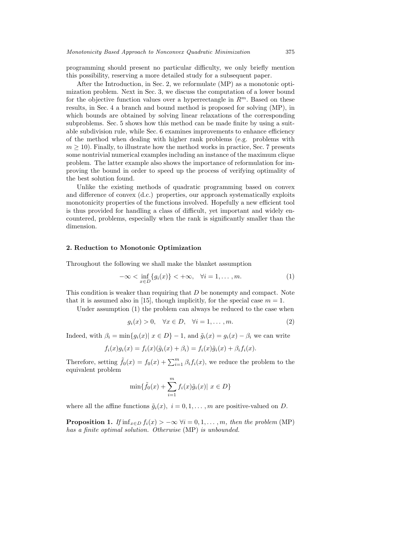programming should present no particular difficulty, we only briefly mention this possibility, reserving a more detailed study for a subsequent paper.

After the Introduction, in Sec. 2, we reformulate (MP) as a monotonic optimization problem. Next in Sec. 3, we discuss the computation of a lower bound for the objective function values over a hyperrectangle in  $R^m$ . Based on these results, in Sec. 4 a branch and bound method is proposed for solving (MP), in which bounds are obtained by solving linear relaxations of the corresponding subproblems. Sec. 5 shows how this method can be made finite by using a suitable subdivision rule, while Sec. 6 examines improvements to enhance efficiency of the method when dealing with higher rank problems (e.g. problems with  $m \geq 10$ ). Finally, to illustrate how the method works in practice, Sec. 7 presents some nontrivial numerical examples including an instance of the maximum clique problem. The latter example also shows the importance of reformulation for improving the bound in order to speed up the process of verifying optimality of the best solution found.

Unlike the existing methods of quadratic programming based on convex and difference of convex (d.c.) properties, our approach systematically exploits monotonicity properties of the functions involved. Hopefully a new efficient tool is thus provided for handling a class of difficult, yet important and widely encountered, problems, especially when the rank is significantly smaller than the dimension.

# **2. Reduction to Monotonic Optimization**

Throughout the following we shall make the blanket assumption

$$
-\infty < \inf_{x \in D} \{g_i(x)\} < +\infty, \quad \forall i = 1, \dots, m. \tag{1}
$$

This condition is weaker than requiring that D be nonempty and compact. Note that it is assumed also in [15], though implicitly, for the special case  $m = 1$ .

Under assumption (1) the problem can always be reduced to the case when

$$
g_i(x) > 0, \quad \forall x \in D, \quad \forall i = 1, \dots, m. \tag{2}
$$

Indeed, with  $\beta_i = \min\{g_i(x) | x \in D\} - 1$ , and  $\tilde{g}_i(x) = g_i(x) - \beta_i$  we can write

$$
f_i(x)g_i(x) = f_i(x)(\tilde{g}_i(x) + \beta_i) = f_i(x)\tilde{g}_i(x) + \beta_i f_i(x).
$$

Therefore, setting  $\tilde{f}_0(x) = f_0(x) + \sum_{i=1}^m \beta_i f_i(x)$ , we reduce the problem to the equivalent problem

$$
\min\{\tilde{f}_0(x) + \sum_{i=1}^m f_i(x)\tilde{g}_i(x) | x \in D\}
$$

where all the affine functions  $\tilde{g}_i(x)$ ,  $i = 0, 1, \ldots, m$  are positive-valued on D.

**Proposition 1.** *If*  $\inf_{x \in D} f_i(x) > -\infty$   $\forall i = 0, 1, \ldots, m$ , then the problem (MP) *has a finite optimal solution. Otherwise* (MP) *is unbounded.*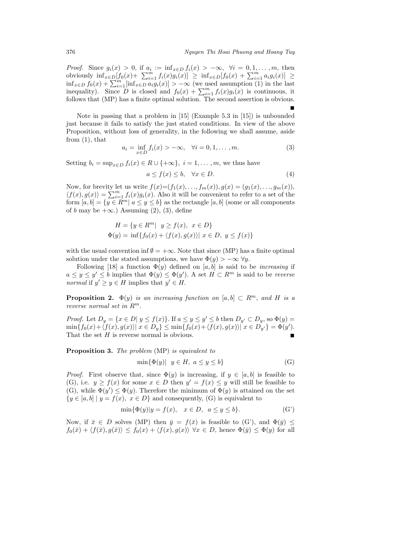-

*Proof.* Since  $g_i(x) > 0$ , if  $a_i := \inf_{x \in D} f_i(x) > -\infty$ ,  $\forall i = 0, 1, ..., m$ , then obviously  $\inf_{x \in D} [f_0(x) + \sum_{i=1}^m f_i(x)g_i(x)] \geq \inf_{x \in D} [f_0(x) + \sum_{i=1}^m a_i g_i(x)]$  ≥  $\inf_{x\in D} f_0(x) + \sum_{i=1}^m [\inf_{x\in D} a_i g_i(x)] > -\infty$  (we used assumption (1) in the last inequality). Since D is closed and  $f_0(x) + \sum_{i=1}^m f_i(x)g_i(x)$  is continuous, it follows that (MP) has a finite optimal solution. The second assertion is obvious.

Note in passing that a problem in [15] (Example 5.3 in [15]) is unbounded just because it fails to satisfy the just stated conditions. In view of the above Proposition, without loss of generality, in the following we shall assume, aside from  $(1)$ , that

$$
a_i = \inf_{x \in D} f_i(x) > -\infty, \quad \forall i = 0, 1, ..., m.
$$
 (3)

Setting  $b_i = \sup_{x \in D} f_i(x) \in R \cup \{+\infty\}, i = 1, \ldots, m$ , we thus have

$$
a \le f(x) \le b, \quad \forall x \in D. \tag{4}
$$

Now, for brevity let us write  $f(x)=(f_1(x),..., f_m(x)), g(x)=(g_1(x),..., g_m(x)),$  $\langle f(x), g(x) \rangle = \sum_{i=1}^m f_i(x)g_i(x)$ . Also it will be convenient to refer to a set of the form  $[a, b] = \{y \in \mathbb{R}^m | a \le y \le b\}$  as the rectangle  $[a, b]$  (some or all components of b may be  $+\infty$ .) Assuming (2), (3), define

$$
H = \{ y \in R^m | y \ge f(x), x \in D \}
$$
  
 
$$
\Phi(y) = \inf \{ f_0(x) + \langle f(x), g(x) \rangle | x \in D, y \le f(x) \}
$$

with the usual convention inf  $\emptyset = +\infty$ . Note that since (MP) has a finite optimal solution under the stated assumptions, we have  $\Phi(y) > -\infty \ \forall y$ .

Following [18] a function  $\Phi(v)$  defined on [a, b] is said to be *increasing* if  $a \leq y \leq y' \leq b$  implies that  $\Phi(y) \leq \Phi(y')$ . A set  $H \subset \mathbb{R}^m$  is said to be *reverse normal* if  $y' \geq y \in H$  implies that  $y' \in H$ .

**Proposition 2.**  $\Phi(y)$  *is an increasing function on* [a, b]  $\subset R^m$ , and H *is a reverse normal set in* R<sup>m</sup>.

*Proof.* Let  $D_y = \{x \in D | y \le f(x)\}\$ . If  $a \le y \le y' \le b$  then  $D_{y'} \subset D_y$ , so  $\Phi(y) =$  $\min\{f_0(x) + \langle f(x), g(x) \rangle \mid x \in D_y\} \leq \min\{f_0(x) + \langle f(x), g(x) \rangle \mid x \in D_{y'}\} = \Phi(y').$ That the set  $H$  is reverse normal is obvious.

**Proposition 3.** *The problem* (MP) *is equivalent to*

$$
\min\{\Phi(y) | y \in H, a \le y \le b\} \tag{G}
$$

*Proof.* First observe that, since  $\Phi(y)$  is increasing, if  $y \in [a, b]$  is feasible to (G), i.e.  $y \ge f(x)$  for some  $x \in D$  then  $y' = f(x) \le y$  will still be feasible to (G), while  $\Phi(y') \leq \Phi(y)$ . Therefore the minimum of  $\Phi(y)$  is attained on the set  ${y \in [a, b] \mid y = f(x), x \in D}$  and consequently, (G) is equivalent to

$$
\min\{\Phi(y)|y = f(x), \quad x \in D, \ a \le y \le b\}.\tag{G'}
$$

Now, if  $\bar{x} \in D$  solves (MP) then  $\bar{y} = f(\bar{x})$  is feasible to (G'), and  $\Phi(\bar{y}) \leq$  $f_0(\bar{x}) + \langle f(\bar{x}), g(\bar{x}) \rangle \leq f_0(x) + \langle f(x), g(x) \rangle \ \forall x \in D$ , hence  $\Phi(\bar{y}) \leq \Phi(y)$  for all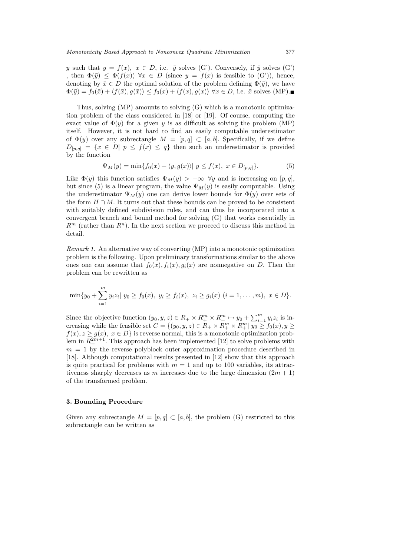y such that  $y = f(x)$ ,  $x \in D$ , i.e.  $\bar{y}$  solves (G'). Conversely, if  $\bar{y}$  solves (G') , then  $\Phi(\bar{y}) \leq \Phi(f(x))$   $\forall x \in D$  (since  $y = f(x)$  is feasible to  $(G')$ ), hence, denoting by  $\bar{x} \in D$  the optimal solution of the problem defining  $\Phi(\bar{y})$ , we have  $\Phi(\bar{y}) = f_0(\bar{x}) + \langle f(\bar{x}), g(\bar{x}) \rangle \leq f_0(x) + \langle f(x), g(x) \rangle \ \forall x \in D$ , i.e.  $\bar{x}$  solves (MP).

Thus, solving (MP) amounts to solving (G) which is a monotonic optimization problem of the class considered in [18] or [19]. Of course, computing the exact value of  $\Phi(y)$  for a given y is as difficult as solving the problem (MP) itself. However, it is not hard to find an easily computable underestimator of  $\Phi(y)$  over any subrectangle  $M = [p, q] \subset [a, b]$ . Specifically, if we define  $D_{[p,q]} = \{x \in D | p \leq f(x) \leq q\}$  then such an underestimator is provided by the function

$$
\Psi_M(y) = \min\{f_0(x) + \langle y, g(x) \rangle | y \le f(x), \ x \in D_{[p,q]}\}.
$$
 (5)

Like  $\Phi(y)$  this function satisfies  $\Psi_M(y) > -\infty \ \forall y$  and is increasing on [p, q], but since (5) is a linear program, the value  $\Psi_M(y)$  is easily computable. Using the underestimator  $\Psi_M(y)$  one can derive lower bounds for  $\Phi(y)$  over sets of the form  $H \cap M$ . It turns out that these bounds can be proved to be consistent with suitably defined subdivision rules, and can thus be incorporated into a convergent branch and bound method for solving (G) that works essentially in  $R^m$  (rather than  $R^n$ ). In the next section we proceed to discuss this method in detail.

*Remark 1.* An alternative way of converting (MP) into a monotonic optimization problem is the following. Upon preliminary transformations similar to the above ones one can assume that  $f_0(x)$ ,  $f_i(x)$ ,  $g_i(x)$  are nonnegative on D. Then the problem can be rewritten as

$$
\min\{y_0+\sum_{i=1}^m y_i z_i | y_0 \ge f_0(x), y_i \ge f_i(x), z_i \ge g_i(x) (i=1,\ldots,m), x \in D\}.
$$

Since the objective function  $(y_0, y, z) \in R_+ \times R_+^m \times R_+^m \mapsto y_0 + \sum_{i=1}^m y_i z_i$  is increasing while the feasible set  $C = \{(y_0, y, z) \in R_+ \times R_+^m \times R_+^m | y_0 \ge f_0(x), y \ge$  $f(x), z \ge g(x), x \in D$  is reverse normal, this is a monotonic optimization problem in  $R^{2m+1}_{+}$ . This approach has been implemented [12] to solve problems with  $m = 1$  by the reverse polyblock outer approximation procedure described in [18]. Although computational results presented in [12] show that this approach is quite practical for problems with  $m = 1$  and up to 100 variables, its attractiveness sharply decreases as m increases due to the large dimension  $(2m + 1)$ of the transformed problem.

### **3. Bounding Procedure**

Given any subrectangle  $M = [p, q] \subset [a, b]$ , the problem (G) restricted to this subrectangle can be written as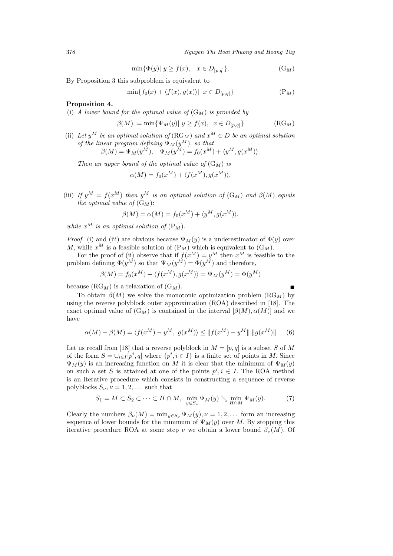378 *Nguyen Thi Hoai Phuong and Hoang Tuy*

$$
\min\{\Phi(y) | y \ge f(x), \quad x \in D_{[p,q]}\}.
$$
\n(G<sub>M</sub>)

By Proposition 3 this subproblem is equivalent to

$$
\min\{f_0(x) + \langle f(x), g(x) \rangle \mid x \in D_{[p,q]}\}\tag{P_M}
$$

# **Proposition 4.**

(i) *A lower bound for the optimal value of*  $(G_M)$  *is provided by* 

$$
\beta(M) := \min\{\Psi_M(y) | y \ge f(x), x \in D_{[p,q]}\}\tag{RGM}
$$

(ii) Let  $y^M$  be an optimal solution of  $(RG_M)$  and  $x^M \in D$  be an optimal solution *of the linear program defining*  $\Psi_M(y^M)$ , *so that*  $\beta(M) = \Psi_M(y^M), \quad \Psi_M(y^M) = f_0(x^M) + \langle y^M, g(x^M) \rangle.$ 

*Then an upper bound of the optimal value of*  $(G_M)$  *is* 

$$
\alpha(M) = f_0(x^M) + \langle f(x^M), g(x^M) \rangle.
$$

(iii) *If*  $y^M = f(x^M)$  *then*  $y^M$  *is an optimal solution of*  $(G_M)$  *and*  $\beta(M)$  *equals the optimal value of*  $(G_M)$ :

$$
\beta(M) = \alpha(M) = f_0(x^M) + \langle y^M, g(x^M) \rangle.
$$

*while*  $x^M$  *is an optimal solution of*  $(P_M)$ .

*Proof.* (i) and (iii) are obvious because  $\Psi_M(y)$  is a underestimator of  $\Phi(y)$  over M, while  $x^M$  is a feasible solution of  $(P_M)$  which is equivalent to  $(G_M)$ .

For the proof of (ii) observe that if  $f(x^M) = y^M$  then  $x^M$  is feasible to the problem defining  $\Phi(y^M)$  so that  $\Psi_M(y^M) = \Phi(y^M)$  and therefore,

$$
\beta(M) = f_0(x^M) + \langle f(x^M), g(x^M) \rangle = \Psi_M(y^M) = \Phi(y^M)
$$

because  $(RG_M)$  is a relaxation of  $(G_M)$ .

To obtain  $\beta(M)$  we solve the monotonic optimization problem  $(RG_M)$  by using the reverse polyblock outer approximation (ROA) described in [18]. The exact optimal value of  $(G_M)$  is contained in the interval  $[\beta(M), \alpha(M)]$  and we have

$$
\alpha(M) - \beta(M) = \langle f(x^M) - y^M, g(x^M) \rangle \le ||f(x^M) - y^M|| ||g(x^M)||
$$
 (6)

Let us recall from [18] that a reverse polyblock in  $M = [p, q]$  is a subset S of M of the form  $S = \bigcup_{i \in I} [p^i, q]$  where  $\{p^i, i \in I\}$  is a finite set of points in M. Since  $\Psi_M(y)$  is an increasing function on M it is clear that the minimum of  $\Psi_M(y)$ on such a set S is attained at one of the points  $p^i, i \in I$ . The ROA method is an iterative procedure which consists in constructing a sequence of reverse polyblocks  $S_{\nu}$ ,  $\nu = 1, 2, \ldots$  such that

$$
S_1 = M \subset S_2 \subset \cdots \subset H \cap M, \quad \min_{y \in S_\nu} \Psi_M(y) \searrow \min_{H \cap M} \Psi_M(y). \tag{7}
$$

Clearly the numbers  $\beta_{\nu}(M) = \min_{y \in S_{\nu}} \Psi_M(y), \nu = 1, 2, \dots$  form an increasing sequence of lower bounds for the minimum of  $\Psi_M(y)$  over M. By stopping this iterative procedure ROA at some step  $\nu$  we obtain a lower bound  $\beta_{\nu}(M)$ . Of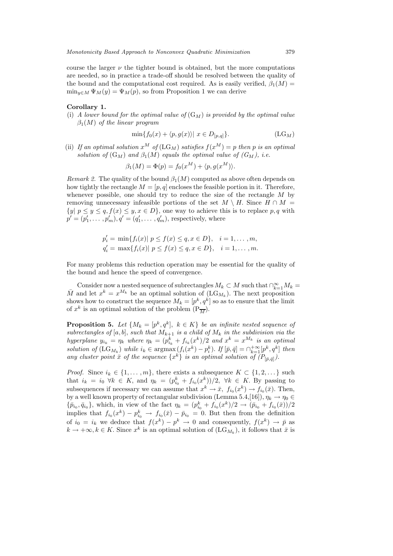course the larger  $\nu$  the tighter bound is obtained, but the more computations are needed, so in practice a trade-off should be resolved between the quality of the bound and the computational cost required. As is easily verified,  $\beta_1(M)$  =  $\min_{y \in M} \Psi_M(y) = \Psi_M(p)$ , so from Proposition 1 we can derive

#### **Corollary 1.**

(i) *A lower bound for the optimal value of*  $(G_M)$  *is provided by the optimal value* β1(M) *of the linear program*

$$
\min\{f_0(x) + \langle p, g(x) \rangle \mid x \in D_{[p,q]}\}.
$$
\n(LG<sub>M</sub>)

(ii) If an optimal solution  $x^M$  of  $(LG_M)$  satisfies  $f(x^M) = p$  then p is an optimal *solution of*  $(G_M)$  *and*  $\beta_1(M)$  *equals the optimal value of*  $(G_M)$ *, i.e.* 

$$
\beta_1(M) = \Phi(p) = f_0(x^M) + \langle p, g(x^M) \rangle.
$$

*Remark 2.* The quality of the bound  $\beta_1(M)$  computed as above often depends on how tightly the rectangle  $M = [p, q]$  encloses the feasible portion in it. Therefore, whenever possible, one should try to reduce the size of the rectangle  $M$  by removing unnecessary infeasible portions of the set  $M \setminus H$ . Since  $H \cap M =$  ${y | p \le y \le q, f(x) \le y, x \in D},$  one way to achieve this is to replace p, q with  $p' = (p'_1, \ldots, p'_m), q' = (q'_1, \ldots, q'_m)$ , respectively, where

$$
p'_{i} = \min\{f_{i}(x) | p \le f(x) \le q, x \in D\}, \quad i = 1, ..., m,
$$
  
\n
$$
q'_{i} = \max\{f_{i}(x) | p \le f(x) \le q, x \in D\}, \quad i = 1, ..., m.
$$

For many problems this reduction operation may be essential for the quality of the bound and hence the speed of convergence.

Consider now a nested sequence of subrectangles  $M_k \subset M$  such that  $\bigcap_{k=1}^{\infty} M_k =$  $\overline{M}$  and let  $x^k = x^{M_k}$  be an optimal solution of  $(LG_{M_k})$ . The next proposition shows how to construct the sequence  $M_k = [p^k, q^k]$  so as to ensure that the limit of  $x^k$  is an optimal solution of the problem  $(P_{\overline{M}})$ .

**Proposition 5.** Let  $\{M_k = [p^k, q^k], k \in K\}$  be an infinite nested sequence of *subrectangles of*  $[a, b]$ , *such that*  $M_{k+1}$  *is a child of*  $M_k$  *in the subdivision via the hyperplane*  $y_{i_k} = \eta_k$  where  $\eta_k = (p_{i_k}^k + f_{i_k}(x^k)/2$  and  $x^k = x^{M_k}$  is an optimal *solution of*  $(LG_{M_k})$  *while*  $i_k \in \text{argmax}(f_i(x^k) - p_i^k)$ . *If*  $[\bar{p}, \bar{q}] = \bigcap_{k=1}^{+\infty} [p^k, q^k]$  *then any cluster point*  $\bar{x}$  *of the sequence*  $\{x^k\}$  *is an optimal solution of*  $(P_{[\bar{p},\bar{q}]})$ *.* 

*Proof.* Since  $i_k \in \{1, \ldots, m\}$ , there exists a subsequence  $K \subset \{1, 2, \ldots\}$  such that  $i_k = i_0 \forall k \in K$ , and  $\eta_k = (p_{i_0}^k + f_{i_0}(x^k))/2$ ,  $\forall k \in K$ . By passing to subsequences if necessary we can assume that  $x^k \to \bar{x}$ ,  $f_{i_0}(x^k) \to f_{i_0}(\bar{x})$ . Then, by a well known property of rectangular subdivision (Lemma 5.4,[16]),  $\eta_k \to \eta_0 \in$  ${\bar{p}_{i_0}, \bar{q}_{i_0}}$ , which, in view of the fact  $\eta_k = (p_{i_0}^k + f_{i_0}(x^k)/2 \to (\bar{p}_{i_0} + f_{i_0}(\bar{x}))/2$ implies that  $f_{i_0}(x^k) - p_{i_0}^k \rightarrow f_{i_0}(\bar{x}) - \bar{p}_{i_0} = 0$ . But then from the definition of  $i_0 = i_k$  we deduce that  $f(x^k) - p^k \to 0$  and consequently,  $f(x^k) \to \bar{p}$  as  $k \to +\infty, k \in K$ . Since  $x^k$  is an optimal solution of  $(\text{LG}_{M_k})$ , it follows that  $\bar{x}$  is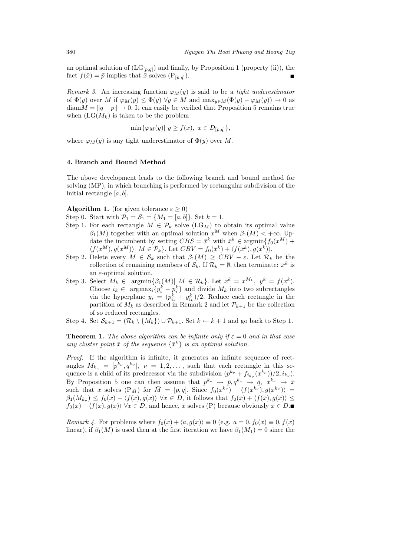an optimal solution of  $(LG_{[\bar{p},\bar{q}]})$  and finally, by Proposition 1 (property (ii)), the fact  $f(\bar{x})=\bar{p}$  implies that  $\bar{x}$  solves  $(P_{[\bar{p},\bar{q}]}).$ 

*Remark 3.* An increasing function  $\varphi_M(y)$  is said to be a *tight underestimator* of  $\Phi(y)$  over M if  $\varphi_M(y) \leq \Phi(y)$   $\forall y \in M$  and  $\max_{y \in M} (\Phi(y) - \varphi_M(y)) \to 0$  as  $\text{diam } M = ||q - p|| \rightarrow 0$ . It can easily be verified that Proposition 5 remains true when  $(LG(M_k))$  is taken to be the problem

$$
\min{\varphi_M(y)| y \ge f(x), x \in D_{[p,q]}}.
$$

where  $\varphi_M(y)$  is any tight underestimator of  $\Phi(y)$  over M.

#### **4. Branch and Bound Method**

The above development leads to the following branch and bound method for solving (MP), in which branching is performed by rectangular subdivision of the initial rectangle  $[a, b]$ .

**Algorithm 1.** (for given tolerance  $\varepsilon \geq 0$ )

- Step 0. Start with  $P_1 = S_1 = \{M_1 = [a, b]\}$ . Set  $k = 1$ .
- Step 1. For each rectangle  $M \in \mathcal{P}_k$  solve  $(LG_M)$  to obtain its optimal value  $\beta_1(M)$  together with an optimal solution  $x^M$  when  $\beta_1(M) < +\infty$ . Update the incumbent by setting  $CBS = \bar{x}^k$  with  $\bar{x}^k \in \text{argmin}\{f_0(x^M) +$  $\langle f(x^M), g(x^M) \rangle \vert \ M \in \mathcal{P}_k \}.$  Let  $CBV = f_0(\bar{x}^k) + \langle f(\bar{x}^k), g(\bar{x}^k) \rangle.$
- Step 2. Delete every  $M \in \mathcal{S}_k$  such that  $\beta_1(M) \geq CBV \varepsilon$ . Let  $\mathcal{R}_k$  be the collection of remaining members of  $\mathcal{S}_k$ . If  $\mathcal{R}_k = \emptyset$ , then terminate:  $\bar{x}^k$  is an  $\varepsilon$ -optimal solution.
- Step 3. Select  $M_k \in \text{argmin}\{\beta_1(M)| \mid M \in \mathcal{R}_k\}.$  Let  $x^k = x^{M_k}, y^k = f(x^k).$ Choose  $i_k \in \text{argmax}_i \{y_i^k - p_i^k\}$  and divide  $M_k$  into two subrectangles via the hyperplane  $y_i = (p_{i_k}^k + y_{i_k}^k)/2$ . Reduce each rectangle in the partition of  $M_k$  as described in Remark 2 and let  $\mathcal{P}_{k+1}$  be the collection of so reduced rectangles.

Step 4. Set  $S_{k+1} = (\mathcal{R}_k \setminus \{M_k\}) \cup \mathcal{P}_{k+1}$ . Set  $k \leftarrow k+1$  and go back to Step 1.

**Theorem 1.** *The above algorithm can be infinite only if*  $\varepsilon = 0$  *and in that case* any cluster point  $\bar{x}$  of the sequence  $\{\bar{x}^k\}$  *is an optimal solution.* 

*Proof.* If the algorithm is infinite, it generates an infinite sequence of rectangles  $M_{k_{\nu}} = [p^{k_{\nu}}, q^{k_{\nu}}], \nu = 1, 2, \dots$ , such that each rectangle in this sequence is a child of its predecessor via the subdivision  $(p^{k_{\nu}} + f_{i_{k_{\nu}}}(x^{k_{\nu}}))/2, i_{k_{\nu}})$ . By Proposition 5 one can then assume that  $p^{k_{\nu}} \to \bar{p}, q^{k_{\nu}} \to \bar{q}, x^{k_{\nu}} \to \bar{x}$ such that  $\bar{x}$  solves  $(P_{\bar{M}})$  for  $\bar{M} = [\bar{p}, \bar{q}]$ . Since  $f_0(x^{k_{\nu}}) + \langle f(x^{k_{\nu}}), g(x^{k_{\nu}}) \rangle =$  $\beta_1(M_{k_\nu}) \leq f_0(x) + \langle f(x), g(x) \rangle \,\,\forall x \in D$ , it follows that  $f_0(\bar{x}) + \langle f(\bar{x}), g(\bar{x}) \rangle \leq$  $f_0(x) + \langle f(x), g(x) \rangle \ \forall x \in D$ , and hence,  $\bar{x}$  solves (P) because obviously  $\bar{x} \in D$ .

*Remark 4.* For problems where  $f_0(x) + \langle a, g(x) \rangle \equiv 0$  (e.g.  $a = 0, f_0(x) \equiv 0, f(x)$ ) linear), if  $\beta_1(M)$  is used then at the first iteration we have  $\beta_1(M_1) = 0$  since the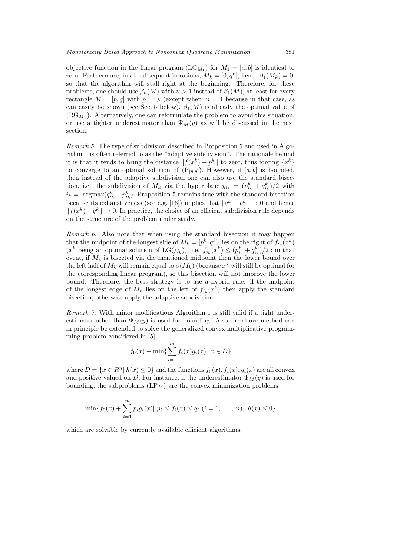objective function in the linear program  $(LG_{M_1})$  for  $M_1 = [a, b]$  is identical to zero. Furthermore, in all subsequent iterations,  $M_k = [0, q^k]$ , hence  $\beta_1(M_k) = 0$ , so that the algorithm will stall right at the beginning. Therefore, for these problems, one should use  $\beta_{\nu}(M)$  with  $\nu > 1$  instead of  $\beta_1(M)$ , at least for every rectangle  $M = [p, q]$  with  $p = 0$ . (except when  $m = 1$  because in that case, as can easily be shown (see Sec. 5 below),  $\beta_1(M)$  is already the optimal value of  $(RG_M)$ ). Alternatively, one can reformulate the problem to avoid this situation, or use a tighter underestimator than  $\Psi_M(y)$  as will be discussed in the next section.

*Remark 5.* The type of subdivision described in Proposition 5 and used in Algorithm 1 is often referred to as the "adaptive subdivision". The rationale behind it is that it tends to bring the distance  $||f(x^k) - p^k||$  to zero, thus forcing  $\{x^k\}$ to converge to an optimal solution of  $(P_{[\bar{p},\bar{q}]}).$  Howewer, if  $[a,b]$  is bounded, then instead of the adaptive subdivision one can also use the standard bisection, i.e. the subdivision of  $M_k$  via the hyperplane  $y_{i_k} = (p_{i_k}^k + q_{i_k}^k)/2$  with  $i_k = \text{argmax}(q_{i_k}^k - p_{i_k}^k)$ . Proposition 5 remains true with the standard bisection because its exhaustiveness (see e.g. [16]) implies that  $||q^k - p^k|| \to 0$  and hence  $|| f(x^k) - y^k || \rightarrow 0.$  In practice, the choice of an efficient subdivision rule depends on the structure of the problem under study.

*Remark 6.* Also note that when using the standard bisection it may happen that the midpoint of the longest side of  $M_k = [p^k, q^k]$  lies on the right of  $f_{i_k}(x^k)$  $(x^k)$  being an optimal solution of  $LG(M_k)$ , i.e.  $f_{i_k}(x^k) \leq (p_{i_k}^k + q_{i_k}^k)/2$ : in that event, if  $M_k$  is bisected via the mentioned midpoint then the lower bound over the left half of  $M_k$  will remain equal to  $\beta(M_k)$  (because  $x^k$  will still be optimal for the corresponding linear program), so this bisection will not improve the lower bound. Therefore, the best strategy is to use a hybrid rule: if the midpoint of the longest edge of  $M_k$  lies on the left of  $f_{i_k}(x^k)$  then apply the standard bisection, otherwise apply the adaptive subdivision.

*Remark 7.* With minor modifications Algorithm 1 is still valid if a tight underestimator other than  $\Psi_M(y)$  is used for bounding. Also the above method can in principle be extended to solve the generalized convex multiplicative programming problem considered in [5]:

$$
f_0(x) + \min{\sum_{i=1}^m f_i(x)g_i(x)| x \in D}
$$

where  $D = \{x \in R^n | h(x) \leq 0\}$  and the functions  $f_0(x), f_i(x), g_i(x)$  are all convex and positive-valued on D. For instance, if the underestimator  $\Psi_M(y)$  is used for bounding, the subproblems  $\left( L\mathbf{P}_{M}\right)$  are the convex minimization problems

$$
\min\{f_0(x) + \sum_{i=1}^m p_i g_i(x) | p_i \le f_i(x) \le q_i \ (i = 1, \dots, m), \ h(x) \le 0\}
$$

which are solvable by currently available efficient algorithms.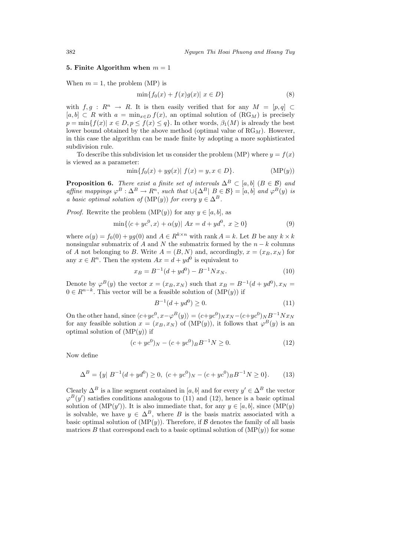# **5. Finite Algorithm when**  $m = 1$

When  $m = 1$ , the problem (MP) is

$$
\min\{f_0(x) + f(x)g(x) | x \in D\}
$$
 (8)

with  $f,g: R^n \to R$ . It is then easily verified that for any  $M = [p,q] \subset$  $[a, b] \subset R$  with  $a = \min_{x \in D} f(x)$ , an optimal solution of  $(RG_M)$  is precisely  $p = \min\{f(x) | x \in D, p \leq f(x) \leq q\}$ . In other words,  $\beta_1(M)$  is already the best lower bound obtained by the above method (optimal value of  $RG_M$ ). However, in this case the algorithm can be made finite by adopting a more sophisticated subdivision rule.

To describe this subdivision let us consider the problem (MP) where  $y = f(x)$ is viewed as a parameter:

$$
\min\{f_0(x) + yg(x)|\ f(x) = y, x \in D\}.\tag{MP(y)}
$$

**Proposition 6.** *There exist a finite set of intervals*  $\Delta^B \subset [a, b]$   $(B \in \mathcal{B})$  *and affine mappings*  $\varphi^B : \Delta^B \to R^n$ , *such that*  $\cup {\Delta^B | B \in \mathcal{B}} = [a, b]$  *and*  $\varphi^B(y)$  *is a basic optimal solution of*  $(MP(y))$  *for every*  $y \in \Delta^B$ .

*Proof.* Rewrite the problem  $(MP(y))$  for any  $y \in [a, b]$ , as

$$
\min\{\langle c+yc^0, x\rangle + \alpha(y)| Ax = d + yd^0, x \ge 0\}
$$
\n(9)

where  $\alpha(y) = f_0(0) + yg(0)$  and  $A \in R^{k \times n}$  with rank  $A = k$ . Let B be any  $k \times k$ nonsingular submatrix of A and N the submatrix formed by the  $n - k$  columns of A not belonging to B. Write  $A = (B, N)$  and, accordingly,  $x = (x_B, x_N)$  for any  $x \in R^n$ . Then the system  $Ax = d + yd^0$  is equivalent to

$$
x_B = B^{-1}(d + y d^0) - B^{-1} N x_N.
$$
\n(10)

Denote by  $\varphi^{B}(y)$  the vector  $x = (x_B, x_N)$  such that  $x_B = B^{-1}(d + y d^0), x_N =$  $0 \in R^{n-k}$ . This vector will be a feasible solution of  $(MP(y))$  if

$$
B^{-1}(d + y d^0) \ge 0.
$$
\n(11)

On the other hand, since  $\langle c+yc^0, x-\varphi^B(y)\rangle = (c+yc^0)_Nx_N - (c+yc^0)_NB^{-1}Nx_N$ for any feasible solution  $x = (x_B, x_N)$  of  $(MP(y))$ , it follows that  $\varphi^B(y)$  is an optimal solution of  $(MP(y))$  if

$$
(c + ye^{0})_{N} - (c + ye^{0})_{B}B^{-1}N \ge 0.
$$
 (12)

Now define

$$
\Delta^{B} = \{ y | B^{-1}(d + yd^{0}) \ge 0, (c + yc^{0})_{N} - (c + yc^{0})_{B}B^{-1}N \ge 0 \}.
$$
 (13)

Clearly  $\Delta^B$  is a line segment contained in [a, b] and for every  $y' \in \Delta^B$  the vector  $\varphi^{B}(y')$  satisfies conditions analogous to (11) and (12), hence is a basic optimal solution of  $(MP(y'))$ . It is also immediate that, for any  $y \in [a, b]$ , since  $(MP(y))$ is solvable, we have  $y \in \Delta^B$ , where B is the basis matrix associated with a basic optimal solution of  $(MP(y))$ . Therefore, if B denotes the family of all basis matrices B that correspond each to a basic optimal solution of  $(MP(y))$  for some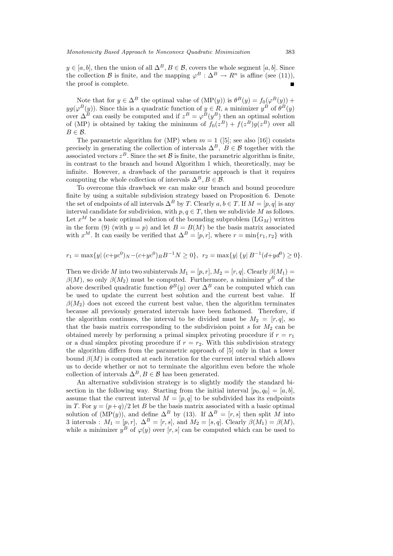$y \in [a, b]$ , then the union of all  $\Delta^B, B \in \mathcal{B}$ , covers the whole segment  $[a, b]$ . Since the collection B is finite, and the mapping  $\varphi^B : \Delta^B \to \mathbb{R}^n$  is affine (see (11)), the proof is complete.

Note that for  $y \in \Delta^B$  the optimal value of  $(MP(y))$  is  $\theta^B(y) = f_0(\varphi^B(y))$  +  $yg(\varphi^{B}(y))$ . Since this is a quadratic function of  $y \in R$ , a minimizer  $y^{B}$  of  $\theta^{B}(y)$ over  $\Delta^B$  can easily be computed and if  $z^B = \varphi^B(y^B)$  then an optimal solution of (MP) is obtained by taking the minimum of  $f_0(z^B) + f(z^B)g(z^B)$  over all  $B \in \mathcal{B}$ .

The parametric algorithm for (MP) when  $m = 1$  ([5]; see also [16]) consists precisely in generating the collection of intervals  $\Delta^B$ ,  $B \in \mathcal{B}$  together with the associated vectors  $z^B$ . Since the set B is finite, the parametric algorithm is finite, in contrast to the branch and bound Algorithm 1 which, theoretically, may be infinite. However, a drawback of the parametric approach is that it requires computing the whole collection of intervals  $\Delta^B$ ,  $B \in \mathcal{B}$ .

To overcome this drawback we can make our branch and bound procedure finite by using a suitable subdivision strategy based on Proposition 6. Denote the set of endpoints of all intervals  $\Delta^B$  by T. Clearly  $a, b \in T$ . If  $M = [p, q]$  is any interval candidate for subdivision, with  $p, q \in T$ , then we subdivide M as follows. Let  $x^M$  be a basic optimal solution of the bounding subproblem  $(LG_M)$  written in the form (9) (with  $y = p$ ) and let  $B = B(M)$  be the basis matrix associated with  $x^M$ . It can easily be verified that  $\Delta^B = [p, r]$ , where  $r = \min\{r_1, r_2\}$  with

$$
r_1 = \max\{y \mid (c + y c^0)_N - (c + y c^0)_B B^{-1} N \ge 0\}, \ r_2 = \max\{y \mid \{y \mid B^{-1} (d + y d^0) \ge 0\}.
$$

Then we divide M into two subintervals  $M_1 = [p, r]$ ,  $M_2 = [r, q]$ . Clearly  $\beta(M_1) =$  $\beta(M)$ , so only  $\beta(M_2)$  must be computed. Furthermore, a minimizer  $y^B$  of the above described quadratic function  $\theta^B(y)$  over  $\Delta^B$  can be computed which can be used to update the current best solution and the current best value. If  $\beta(M_2)$  does not exceed the current best value, then the algorithm terminates because all previously generated intervals have been fathomed. Therefore, if the algorithm continues, the interval to be divided must be  $M_2 = [r, q]$ , so that the basis matrix corresponding to the subdivision point  $s$  for  $M_2$  can be obtained merely by performing a primal simplex privoting procedure if  $r = r_1$ or a dual simplex pivoting procedure if  $r = r_2$ . With this subdivision strategy the algorithm differs from the parametric approach of [5] only in that a lower bound  $\beta(M)$  is computed at each iteration for the current interval which allows us to decide whether or not to terminate the algorithm even before the whole collection of intervals  $\Delta^B$ ,  $B \in \mathcal{B}$  has been generated.

An alternative subdivision strategy is to slightly modify the standard bisection in the following way. Starting from the initial interval  $[p_0, q_0]=[a, b],$ assume that the current interval  $M = [p, q]$  to be subdivided has its endpoints in T. For  $y = (p+q)/2$  let B be the basis matrix associated with a basic optimal solution of  $(MP(y))$ , and define  $\Delta^B$  by (13). If  $\Delta^B = [r, s]$  then split M into 3 intervals :  $M_1 = [p, r], \Delta^B = [r, s],$  and  $M_2 = [s, q].$  Clearly  $\beta(M_1) = \beta(M),$ while a minimizer  $y^B$  of  $\varphi(y)$  over [r, s] can be computed which can be used to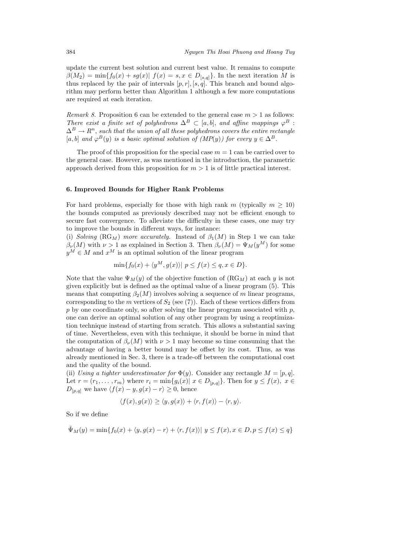update the current best solution and current best value. It remains to compute  $\beta(M_2) = \min\{f_0(x) + sg(x) | f(x) = s, x \in D_{[s,q]}\}.$  In the next iteration M is thus replaced by the pair of intervals  $[p, r]$ ,  $[s, q]$ . This branch and bound algorithm may perform better than Algorithm 1 although a few more computations are required at each iteration.

*Remark 8.* Proposition 6 can be extended to the general case  $m > 1$  as follows: *There exist a finite set of polyhedrons*  $\Delta^B \subset [a, b]$ , *and affine mappings*  $\varphi^B$ :  $\Delta^B \to R^n$ , such that the union of all these polyhedrons covers the entire rectangle [a, b] and  $\varphi^{B}(y)$  *is a basic optimal solution of (MP(y))* for every  $y \in \Delta^{B}$ .

The proof of this proposition for the special case  $m = 1$  can be carried over to the general case. However, as was mentioned in the introduction, the parametric approach derived from this proposition for  $m > 1$  is of little practical interest.

# **6. Improved Bounds for Higher Rank Problems**

For hard problems, especially for those with high rank m (typically  $m > 10$ ) the bounds computed as previously described may not be efficient enough to secure fast convergence. To alleviate the difficulty in these cases, one may try to improve the bounds in different ways, for instance:

(i) *Solving* ( $RG_M$ ) *more accurately.* Instead of  $\beta_1(M)$  in Step 1 we can take  $\beta_{\nu}(M)$  with  $\nu > 1$  as explained in Section 3. Then  $\beta_{\nu}(M) = \Psi_M(y^M)$  for some  $y^M \in M$  and  $x^M$  is an optimal solution of the linear program

$$
\min\{f_0(x) + \langle y^M, g(x) \rangle \mid p \le f(x) \le q, x \in D\}.
$$

Note that the value  $\Psi_M(y)$  of the objective function of  $(RG_M)$  at each y is not given explicitly but is defined as the optimal value of a linear program (5). This means that computing  $\beta_2(M)$  involves solving a sequence of m linear programs, corresponding to the m vertices of  $S_2$  (see (7)). Each of these vertices differs from  $p$  by one coordinate only, so after solving the linear program associated with  $p$ , one can derive an optimal solution of any other program by using a reoptimization technique instead of starting from scratch. This allows a substantial saving of time. Nevertheless, even with this technique, it should be borne in mind that the computation of  $\beta_{\nu}(M)$  with  $\nu > 1$  may become so time consuming that the advantage of having a better bound may be offset by its cost. Thus, as was already mentioned in Sec. 3, there is a trade-off between the computational cost and the quality of the bound.

(ii) *Using a tighter underestimator for*  $\Phi(y)$ . Consider any rectangle  $M = [p, q]$ . Let  $r = (r_1, \ldots, r_m)$  where  $r_i = \min\{g_i(x) | x \in D_{[p,q]}\}\.$  Then for  $y \le f(x), x \in$  $D_{[p,q]}$  we have  $\langle f(x) - y, g(x) - r \rangle \geq 0$ , hence

$$
\langle f(x), g(x) \rangle \ge \langle y, g(x) \rangle + \langle r, f(x) \rangle - \langle r, y \rangle.
$$

So if we define

$$
\tilde{\Psi}_M(y) = \min\{f_0(x) + \langle y, g(x) - r \rangle + \langle r, f(x) \rangle \mid y \le f(x), x \in D, p \le f(x) \le q\}
$$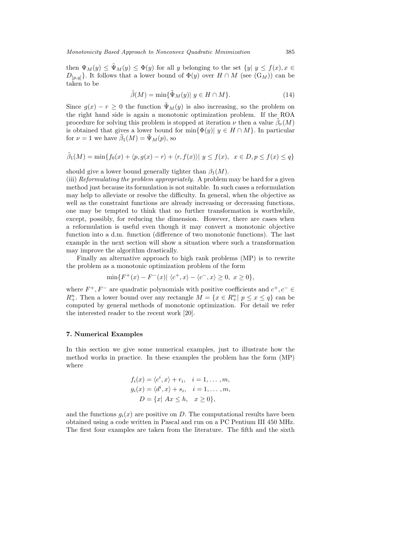then  $\Psi_M(y) \leq \tilde{\Psi}_M(y) \leq \Phi(y)$  for all y belonging to the set  $\{y | y \leq f(x), x \in$  $D_{[p,q]}$ . It follows that a lower bound of  $\Phi(y)$  over  $H \cap M$  (see  $(G_M)$ ) can be taken to be

$$
\tilde{\beta}(M) = \min{\{\tilde{\Psi}_M(y) | y \in H \cap M\}}.
$$
\n(14)

Since  $g(x) - r \geq 0$  the function  $\tilde{\Psi}_M(y)$  is also increasing, so the problem on the right hand side is again a monotonic optimization problem. If the ROA procedure for solving this problem is stopped at iteration  $\nu$  then a value  $\tilde{\beta}_{\nu}(M)$ is obtained that gives a lower bound for min $\{\Phi(y)|, y \in H \cap M\}$ . In particular for  $\nu = 1$  we have  $\beta_1(M) = \Psi_M(p)$ , so

$$
\tilde{\beta}_1(M) = \min\{f_0(x) + \langle p, g(x) - r \rangle + \langle r, f(x) \rangle \mid y \le f(x), \ x \in D, p \le f(x) \le q\}
$$

should give a lower bound generally tighter than  $\beta_1(M)$ .

(iii) *Reformulating the problem appropriately.* A problem may be hard for a given method just because its formulation is not suitable. In such cases a reformulation may help to alleviate or resolve the difficulty. In general, when the objective as well as the constraint functions are already increasing or decreasing functions, one may be tempted to think that no further transformation is worthwhile, except, possibly, for reducing the dimension. However, there are cases when a reformulation is useful even though it may convert a monotonic objective function into a d.m. function (difference of two monotonic functions). The last example in the next section will show a situation where such a transformation may improve the algorithm drastically.

Finally an alternative approach to high rank problems (MP) is to rewrite the problem as a monotonic optimization problem of the form

$$
\min\{F^+(x) - F^-(x)| \langle c^+, x \rangle - \langle c^-, x \rangle \ge 0, \ x \ge 0\},\
$$

where  $F^+, F^-$  are quadratic polynomials with positive coefficients and  $c^+, c^- \in$  $R_+^n$ . Then a lower bound over any rectangle  $M = \{x \in R_+^n | p \le x \le q\}$  can be computed by general methods of monotonic optimization. For detail we refer the interested reader to the recent work [20].

#### **7. Numerical Examples**

In this section we give some numerical examples, just to illustrate how the method works in practice. In these examples the problem has the form (MP) where

$$
f_i(x) = \langle c^i, x \rangle + r_i, \quad i = 1, \dots, m,
$$
  
\n
$$
g_i(x) = \langle d^i, x \rangle + s_i, \quad i = 1, \dots, m,
$$
  
\n
$$
D = \{x | Ax \leq h, \quad x \geq 0\},
$$

and the functions  $g_i(x)$  are positive on D. The computational results have been obtained using a code written in Pascal and run on a PC Pentium III 450 MHz. The first four examples are taken from the literature. The fifth and the sixth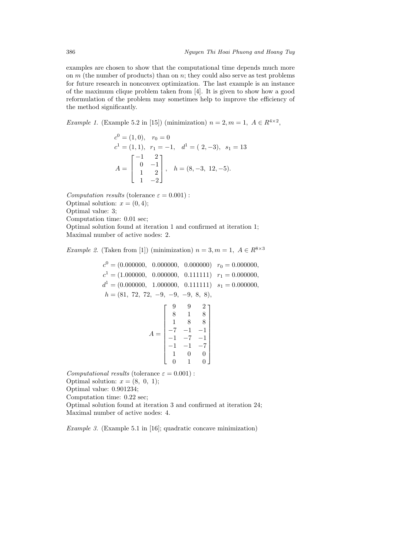examples are chosen to show that the computational time depends much more on  $m$  (the number of products) than on  $n$ ; they could also serve as test problems for future research in nonconvex optimization. The last example is an instance of the maximum clique problem taken from [4]. It is given to show how a good reformulation of the problem may sometimes help to improve the efficiency of the method significantly.

*Example 1.* (Example 5.2 in [15]) (minimization)  $n = 2, m = 1, A \in R^{4 \times 2}$ ,

$$
c^{0} = (1, 0), \quad r_{0} = 0
$$
  
\n
$$
c^{1} = (1, 1), \quad r_{1} = -1, \quad d^{1} = (2, -3), \quad s_{1} = 13
$$
  
\n
$$
A = \begin{bmatrix} -1 & 2 \\ 0 & -1 \\ 1 & 2 \\ 1 & -2 \end{bmatrix}, \quad h = (8, -3, 12, -5).
$$

*Computation results* (tolerance  $\varepsilon = 0.001$ ): Optimal solution:  $x = (0, 4)$ ; Optimal value: 3; Computation time: 0.01 sec; Optimal solution found at iteration 1 and confirmed at iteration 1;

Maximal number of active nodes: 2.

*Example 2.* (Taken from [1]) (minimization)  $n = 3, m = 1, A \in \mathbb{R}^{8 \times 3}$ 

 $c<sup>0</sup> = (0.000000, 0.000000, 0.000000)$   $r<sub>0</sub> = 0.000000,$  $c<sup>1</sup> = (1.000000, 0.000000, 0.111111)$   $r<sub>1</sub> = 0.000000,$  $d^1 = (0.000000, 1.000000, 0.111111)$   $s_1 = 0.000000,$  $h = (81, 72, 72, -9, -9, -9, 8, 8),$  $A =$  $\lceil$  $\blacksquare$ 992 818 188  $-7$   $-1$   $-1$  $-1$   $-7$   $-1$  $-1$   $-1$   $-7$ 100 010 ⎤  $\frac{1}{\sqrt{1-\frac{1}{2}}}\cdot \frac{1}{\sqrt{1-\frac{1}{2}}}\cdot \frac{1}{\sqrt{1-\frac{1}{2}}}\cdot \frac{1}{\sqrt{1-\frac{1}{2}}}\cdot \frac{1}{\sqrt{1-\frac{1}{2}}}\cdot \frac{1}{\sqrt{1-\frac{1}{2}}}\cdot \frac{1}{\sqrt{1-\frac{1}{2}}}\cdot \frac{1}{\sqrt{1-\frac{1}{2}}}\cdot \frac{1}{\sqrt{1-\frac{1}{2}}}\cdot \frac{1}{\sqrt{1-\frac{1}{2}}}\cdot \frac{1}{\sqrt{1-\frac{1}{2}}}\cdot \frac{1}{\sqrt{1-\frac{1}{2}}}\cdot \frac{1$ *Computational results* (tolerance  $\varepsilon = 0.001$ ):

Optimal solution:  $x = (8, 0, 1);$ 

Optimal value: 0.901234;

Computation time: 0.22 sec;

Optimal solution found at iteration 3 and confirmed at iteration 24; Maximal number of active nodes: 4.

*Example 3.* (Example 5.1 in [16]; quadratic concave minimization)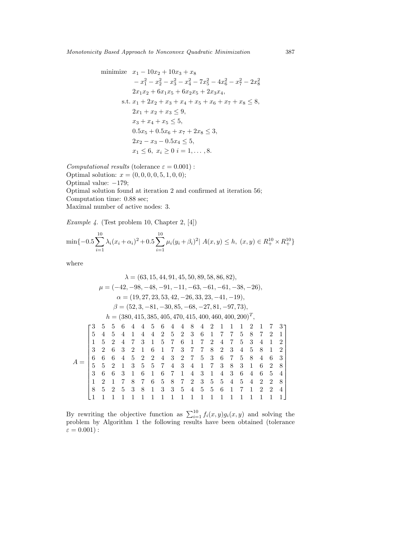*Monotonicity Based Approach to Nonconvex Quadratic Minimization* 387

minimize 
$$
x_1 - 10x_2 + 10x_3 + x_8
$$
  
\t\t\t $-x_1^2 - x_2^2 - x_3^2 - x_4^2 - 7x_5^2 - 4x_6^2 - x_7^2 - 2x_8^2$   
\t\t\t $2x_1x_2 + 6x_1x_5 + 6x_2x_5 + 2x_3x_4$ ,  
\ns.t.  $x_1 + 2x_2 + x_3 + x_4 + x_5 + x_6 + x_7 + x_8 \le 8$ ,  
\t\t\t $2x_1 + x_2 + x_3 \le 9$ ,  
\t\t\t $x_3 + x_4 + x_5 \le 5$ ,  
\t\t\t $0.5x_5 + 0.5x_6 + x_7 + 2x_8 \le 3$ ,  
\t\t\t $2x_2 - x_3 - 0.5x_4 \le 5$ ,  
\t\t\t $x_1 \le 6$ ,  $x_i \ge 0$   $i = 1, ..., 8$ .

*Computational results* (tolerance  $\varepsilon = 0.001$ ): Optimal solution:  $x = (0, 0, 0, 0, 5, 1, 0, 0);$ Optimal value: −179; Optimal solution found at iteration 2 and confirmed at iteration 56; Computation time: 0.88 sec; Maximal number of active nodes: 3.

*Example 4.* (Test problem 10, Chapter 2, [4])

$$
\min\{-0.5\sum_{i=1}^{10} \lambda_i (x_i + \alpha_i)^2 + 0.5\sum_{i=1}^{10} \mu_i (y_i + \beta_i)^2 \mid A(x, y) \le h, (x, y) \in R_+^{10} \times R_+^{10} \}
$$

where

$$
\lambda = (63, 15, 44, 91, 45, 50, 89, 58, 86, 82),
$$
\n
$$
\mu = (-42, -98, -48, -91, -11, -63, -61, -61, -38, -26),
$$
\n
$$
\alpha = (19, 27, 23, 53, 42, -26, 33, 23, -41, -19),
$$
\n
$$
\beta = (52, 3, -81, -30, 85, -68, -27, 81, -97, 73),
$$
\n
$$
h = (380, 415, 385, 405, 470, 415, 400, 460, 400, 200)^T,
$$
\n
$$
\begin{bmatrix}\n3 & 5 & 5 & 6 & 4 & 4 & 5 & 6 & 4 & 4 & 8 & 4 & 2 & 1 & 1 & 1 & 2 & 1 & 7 & 3 \\
5 & 4 & 5 & 4 & 1 & 4 & 4 & 2 & 5 & 2 & 3 & 6 & 1 & 7 & 7 & 5 & 8 & 7 & 2 & 1 \\
1 & 5 & 2 & 4 & 7 & 3 & 1 & 5 & 7 & 6 & 1 & 7 & 2 & 4 & 7 & 5 & 3 & 4 & 1 & 2 \\
3 & 2 & 6 & 3 & 2 & 1 & 6 & 1 & 7 & 3 & 7 & 7 & 8 & 2 & 3 & 4 & 5 & 8 & 1 & 2 \\
6 & 6 & 6 & 4 & 5 & 2 & 2 & 4 & 3 & 2 & 7 & 5 & 3 & 6 & 7 & 5 & 8 & 4 & 6 & 3 \\
5 & 5 & 2 & 1 & 3 & 5 & 5 & 7 & 4 & 3 & 4 & 1 & 7 & 3 & 8 & 3 & 1 & 6 & 2 & 8 \\
3 & 6 & 6 & 3 & 1 & 6 & 1 & 6 & 7 & 1 & 4 & 3 & 1 & 4 & 3 & 6 & 4 & 6 & 5 & 4 \\
1 & 2 & 1 & 7 & 8 & 7 & 6 & 5 & 8 & 7 & 2 & 3 & 5 & 5 & 4 & 5 & 4 & 2 & 2 & 8 \\
8 & 5 & 2 & 5 &
$$

By rewriting the objective function as  $\sum_{i=1}^{10} f_i(x, y) g_i(x, y)$  and solving the problem by Algorithm 1 the following results have been obtained (tolerance  $\varepsilon = 0.001$ ):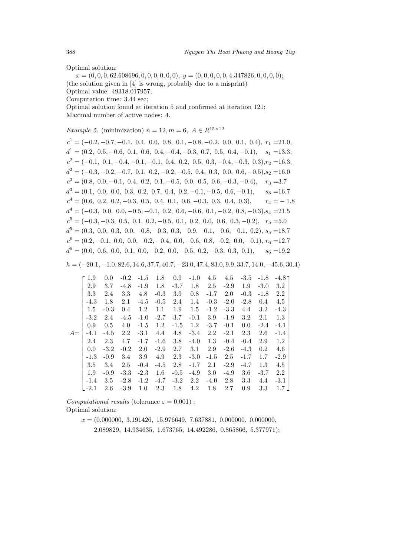Optimal solution:

 $x = (0, 0, 0, 62.608696, 0, 0, 0, 0, 0, 0), y = (0, 0, 0, 0, 0, 4.347826, 0, 0, 0, 0);$ (the solution given in [4] is wrong, probably due to a misprint) Optimal value: 49318.017957; Computation time: 3.44 sec; Optimal solution found at iteration 5 and confirmed at iteration 121; Maximal number of active nodes: 4.

*Example 5.* (minimization)  $n = 12, m = 6, A \in R^{15 \times 12}$ 

 $c<sup>1</sup> = (-0.2, -0.7, -0.1, 0.4, 0.0, 0.8, 0.1, -0.8, -0.2, 0.0, 0.1, 0.4), r<sub>1</sub> = 21.0,$  $d<sup>1</sup> = (0.2, 0.5, -0.6, 0.1, 0.6, 0.4, -0.4, -0.3, 0.7, 0.5, 0.4, -0.1), s<sub>1</sub> = 13.3,$  $c^{2} = (-0.1, 0.1, -0.4, -0.1, -0.1, 0.4, 0.2, 0.5, 0.3, -0.4, -0.3, 0.3), r_{2} = 16.3,$  $d^{2} = (-0.3, -0.2, -0.7, 0.1, 0.2, -0.2, -0.5, 0.4, 0.3, 0.0, 0.6, -0.5), s_{2} = 16.0$  $c<sup>3</sup> = (0.8, 0.0, -0.1, 0.4, 0.2, 0.1, -0.5, 0.0, 0.5, 0.6, -0.3, -0.4),$   $r<sub>3</sub> = 3.7$  $d<sup>3</sup> = (0.1, 0.0, 0.0, 0.3, 0.2, 0.7, 0.4, 0.2, -0.1, -0.5, 0.6, -0.1),$   $s<sub>3</sub> = 16.7$  $c<sup>4</sup> = (0.6, 0.2, 0.2, -0.3, 0.5, 0.4, 0.1, 0.6, -0.3, 0.3, 0.4, 0.3),$   $r<sub>4</sub> = -1.8$  $d^4 = (-0.3, 0.0, 0.0, -0.5, -0.1, 0.2, 0.6, -0.6, 0.1, -0.2, 0.8, -0.3), s_4 = 21.5$  $c<sup>5</sup> = (-0.3, -0.3, 0.5, 0.1, 0.2, -0.5, 0.1, 0.2, 0.0, 0.6, 0.3, -0.2), r<sub>5</sub> = 5.0$  $d^5 = (0.3, 0.0, 0.3, 0.0, -0.8, -0.3, 0.3, -0.9, -0.1, -0.6, -0.1, 0.2), s_5 = 18.7$  $c<sup>6</sup> = (0.2, -0.1, 0.0, 0.0, -0.2, -0.4, 0.0, -0.6, 0.8, -0.2, 0.0, -0.1), r<sub>6</sub> = 12.7$  $d^6 = (0.0, 0.6, 0.0, 0.1, 0.0, -0.2, 0.0, -0.5, 0.2, -0.3, 0.3, 0.1),$   $s_6 = 19.2$ 

 $h = (-20.1, -1.0, 82.6, 14.6, 37.7, 40.7, -23.0, 47.4, 83.0, 9.9, 33.7, 14.0, -45.6, 30.4)$ 

|      | 1.9    | 0.0    | $-0.2$ | $-1.5$ | 1.8    | 0.9    | $-1.0$ | 4.5     | 4.5    | $-3.5$ | $-1.8$ | $-4.8$ $-1$ |  |
|------|--------|--------|--------|--------|--------|--------|--------|---------|--------|--------|--------|-------------|--|
|      | 2.9    | 3.7    | $-4.8$ | $-1.9$ | 1.8    | $-3.7$ | 1.8    | 2.5     | $-2.9$ | 1.9    | $-3.0$ | 3.2         |  |
|      | 3.3    | 2.4    | 3.3    | 4.8    | $-0.3$ | 3.9    | 0.8    | $-1.7$  | 2.0    | $-0.3$ | $-1.8$ | 2.2         |  |
|      | $-4.3$ | 1.8    | 2.1    | $-4.5$ | $-0.5$ | 2.4    | 1.4    | $-0.3$  | $-2.0$ | $-2.8$ | 0.4    | 4.5         |  |
|      | 1.5    | $-0.3$ | 0.4    | 1.2    | 1.1    | 1.9    | 1.5    | $-1.2$  | $-3.3$ | 4.4    | 3.2    | $-4.3$      |  |
|      | $-3.2$ | 2.4    | $-4.5$ | $-1.0$ | $-2.7$ | 3.7    | $-0.1$ | 3.9     | $-1.9$ | 3.2    | 2.1    | 1.3         |  |
|      | 0.9    | 0.5    | 4.0    | $-1.5$ | 1.2    | $-1.5$ | 1.2    | $-3.7$  | $-0.1$ | 0.0    | $-2.4$ | $-4.1$      |  |
| $A=$ | $-4.1$ | $-4.5$ | 2.2    | $-3.1$ | 4.4    | 4.8    | $-3.4$ | $2.2\,$ | $-2.1$ | 2.3    | 2.6    | $-1.4$      |  |
|      | 2.4    | 2.3    | 4.7    | $-1.7$ | $-1.6$ | 3.8    | $-4.0$ | 1.3     | $-0.4$ | $-0.4$ | 2.9    | 1.2         |  |
|      | 0.0    | $-3.2$ | $-0.2$ | 2.0    | $-2.9$ | 2.7    | 3.1    | 2.9     | $-2.6$ | $-4.3$ | 0.2    | 4.6         |  |
|      | $-1.3$ | $-0.9$ | 3.4    | 3.9    | 4.9    | 2.3    | $-3.0$ | $-1.5$  | 2.5    | $-1.7$ | 1.7    | $-2.9$      |  |
|      | 3.5    | 3.4    | 2.5    | $-0.4$ | $-4.5$ | 2.8    | $-1.7$ | 2.1     | $-2.9$ | $-4.7$ | 1.3    | 4.5         |  |
|      | 1.9    | $-0.9$ | $-3.3$ | $-2.3$ | 1.6    | $-0.5$ | $-4.9$ | 3.0     | $-4.9$ | 3.6    | $-3.7$ | 2.2         |  |
|      | $-1.4$ | 3.5    | $-2.8$ | $-1.2$ | $-4.7$ | $-3.2$ | 2.2    | $-4.0$  | 2.8    | 3.3    | 4.4    | $-3.1$      |  |
|      | $-2.1$ | 2.6    | $-3.9$ | 1.0    | 2.3    | 1.8    | 4.2    | 1.8     | 2.7    | 0.9    | 3.3    | 1.7         |  |

*Computational results* (tolerance  $\varepsilon = 0.001$ ): Optimal solution:

> $x = (0.000000, 3.191426, 15.976649, 7.637881, 0.000000, 0.000000,$ 2.089829, 14.934635, 1.673765, 14.492286, 0.865866, 5.377971);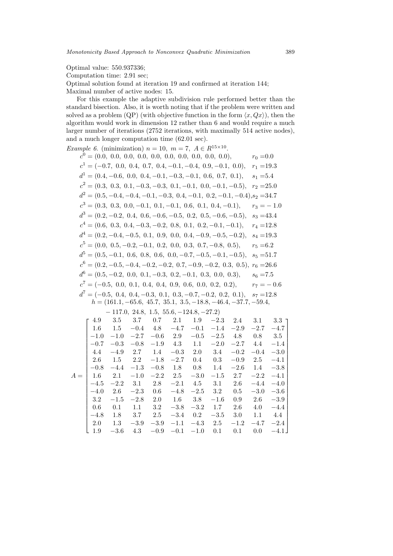Optimal value: 550.937336;

Computation time: 2.91 sec;

Optimal solution found at iteration 19 and confirmed at iteration 144;

Maximal number of active nodes: 15.

For this example the adaptive subdivision rule performed better than the standard bisection. Also, it is worth noting that if the problem were written and solved as a problem (QP) (with objective function in the form  $\langle x, Qx \rangle$ ), then the algorithm would work in dimension 12 rather than 6 and would require a much larger number of iterations (2752 iterations, with maximally 514 active nodes), and a much longer computation time (62.01 sec).

| <i>Example 6.</i> (minimization) $n = 10$ , $m = 7$ , $A \in R^{15 \times 10}$ .  |              |
|-----------------------------------------------------------------------------------|--------------|
|                                                                                   | $r_0 = 0.0$  |
| $c1 = (-0.7, 0.0, 0.4, 0.7, 0.4, -0.1, -0.4, 0.9, -0.1, 0.0),$                    | $r_1 = 19.3$ |
| $d^1 = (0.4, -0.6, 0.0, 0.4, -0.1, -0.3, -0.1, 0.6, 0.7, 0.1),$                   | $s_1 = 5.4$  |
| $c2 = (0.3, 0.3, 0.1, -0.3, -0.3, 0.1, -0.1, 0.0, -0.1, -0.5),$                   | $r_2 = 25.0$ |
| $d^{2} = (0.5, -0.4, -0.4, -0.1, -0.3, 0.4, -0.1, 0.2, -0.1, -0.4), s_{2} = 34.7$ |              |
| $c^3 = (0.3, 0.3, 0.0, -0.1, 0.1, -0.1, 0.6, 0.1, 0.4, -0.1),$                    | $r_3 = -1.0$ |
| $d^3 = (0.2, -0.2, 0.4, 0.6, -0.6, -0.5, 0.2, 0.5, -0.6, -0.5),$                  | $s_3 = 43.4$ |
| $c4 = (0.6, 0.3, 0.4, -0.3, -0.2, 0.8, 0.1, 0.2, -0.1, -0.1),$                    | $r_4 = 12.8$ |
| $d^4 = (0.2, -0.4, -0.5, 0.1, 0.9, 0.0, 0.4, -0.9, -0.5, -0.2),$                  | $s_4 = 19.3$ |
| $c^5 = (0.0, 0.5, -0.2, -0.1, 0.2, 0.0, 0.3, 0.7, -0.8, 0.5),$                    | $r_5 = 6.2$  |
| $d^5 = (0.5, -0.1, 0.6, 0.8, 0.6, 0.0, -0.7, -0.5, -0.1, -0.5),$                  | $s_5 = 51.7$ |
| $c^6 = (0.2, -0.5, -0.4, -0.2, -0.2, 0.7, -0.9, -0.2, 0.3, 0.5),$                 | $r_6 = 26.6$ |
| $d^6 = (0.5, -0.2, 0.0, 0.1, -0.3, 0.2, -0.1, 0.3, 0.0, 0.3),$                    | $s_6 = 7.5$  |
| $c^{7} = (-0.5, 0.0, 0.1, 0.4, 0.4, 0.9, 0.6, 0.0, 0.2, 0.2),$                    | $r_7 = -0.6$ |
| $d^7 = (-0.5, 0.4, 0.4, -0.3, 0.1, 0.3, -0.7, -0.2, 0.2, 0.1),$                   | $s_7 = 12.8$ |
| $h = (161.1, -65.6, 45.7, 35.1, 3.5, -18.8, -46.4, -37.7, -59.4,$                 |              |

 $-117.0, 24.8, 1.5, 55.6, -124.8, -27.2)$ 

|       | 4.9     |              | 3.5 3.7                   |                                                          | $0.7$ $2.1$ $1.9$ |                   |                        |                | $-2.3$ 2.4 3.1 | $3.3\,$ T   |  |
|-------|---------|--------------|---------------------------|----------------------------------------------------------|-------------------|-------------------|------------------------|----------------|----------------|-------------|--|
|       | $1.6\,$ | 1.5          |                           | $-0.4$ 4.8                                               | $-4.7$            | $-0.1$            | $-1.4$                 | $-2.9$         |                | $-2.7 -4.7$ |  |
|       | $-1.0$  | $-1.0$       |                           | $-2.7 -0.6$ 2.9                                          |                   | $-0.5$            |                        | $-2.5$ 4.8     |                | $0.8$ 3.5   |  |
|       | $-0.7$  | $-0.3$       | $-0.8$                    | $-1.9$ 4.3                                               |                   | 1.1               | $-2.0$                 | $-2.7$ 4.4     |                | $-1.4$      |  |
|       | 4.4     |              | $-4.9$ 2.7                |                                                          |                   |                   | $1.4 -0.3$ $2.0$ $3.4$ | $-0.2$         | $-0.4$         | $-3.0$      |  |
|       |         | 2.6 1.5 2.2  |                           | $-1.8$                                                   |                   | $-2.7$ 0.4 0.3    |                        | $-0.9$         | 2.5            | $-4.1$      |  |
|       | $-0.8$  | $-4.4$       |                           | $-1.3$ $-0.8$ 1.8 0.8 1.4                                |                   |                   |                        |                | $-2.6$ 1.4     | $-3.8$      |  |
| $A =$ |         | $1.6 \t 2.1$ |                           | $-1.0$ $-2.2$ 2.5                                        |                   | $-3.0$            |                        | $-1.5$ 2.7     | $-2.2 -4.1$    |             |  |
|       | $-4.5$  | $-2.2$       |                           | $3.1 \quad 2.8 \quad -2.1 \quad 4.5 \quad 3.1 \quad 2.6$ |                   |                   |                        |                | $-4.4$         | $-4.0$      |  |
|       | $-4.0$  |              | $2.6$ $-2.3$ 0.6          |                                                          |                   |                   | $-4.8$ $-2.5$ 3.2 0.5  |                | $-3.0 -3.6$    |             |  |
|       | 3.2     | $-1.5$       | $-2.8$ 2.0 1.6 3.8        |                                                          |                   |                   |                        | $-1.6$ 0.9 2.6 |                | $-3.9$      |  |
|       | 0.6     |              | $0.1 \quad 1.1 \quad 3.2$ |                                                          |                   | $-3.8$ $-3.2$     | $1.7 \t 2.6$           |                | 4.0            | $-4.4$      |  |
|       | $-4.8$  | $1.8$ $3.7$  |                           | 2.5                                                      | $-3.4$            | 0.2               |                        | $-3.5$ 3.0     | 1.1            | 4.4         |  |
|       | 2.0     | 1.3          | $-3.9$                    | $-3.9$                                                   | $-1.1$            | $-4.3$            | 2.5                    | $-1.2$         | $-4.7$         | $-2.4$      |  |
|       | 1.9     | $-3.6$       | 4.3                       | $-0.9$                                                   |                   | $-0.1$ $-1.0$ 0.1 |                        | 0.1            | 0.0            | $-4.1$      |  |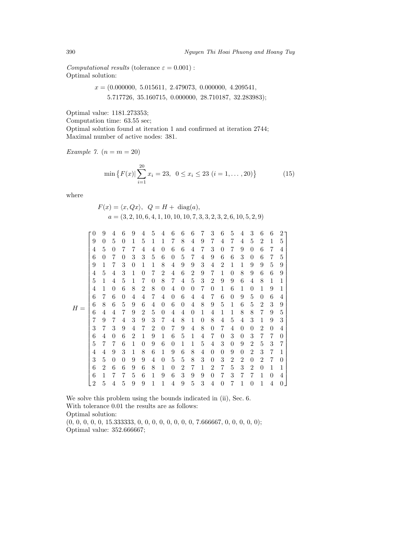*Computational results* (tolerance  $\varepsilon = 0.001$ ): Optimal solution:

$$
x = (0.000000, 5.015611, 2.479073, 0.000000, 4.209541, 5.717726, 35.160715, 0.000000, 28.710187, 32.283983);
$$

Optimal value: 1181.273353;

Computation time: 63.55 sec;

Optimal solution found at iteration 1 and confirmed at iteration 2744; Maximal number of active nodes: 381.

*Example 7.*  $(n = m = 20)$ 

$$
\min \left\{ F(x) | \sum_{i=1}^{20} x_i = 23, \ 0 \le x_i \le 23 \ (i = 1, \dots, 20) \right\} \tag{15}
$$

where

$$
F(x) = \langle x, Qx \rangle, \quad Q = H + \text{diag}(a),
$$
  

$$
a = (3, 2, 10, 6, 4, 1, 10, 10, 10, 7, 3, 3, 2, 3, 2, 6, 10, 5, 2, 9)
$$

|       | 0              | 9              | 4        | 6        | 9              | 4        | 5 | 4              | 6        | 6 | 6        | 7 | 3              | 6              | 5        | 4        | 3              | 6              | 6        | 2        |  |
|-------|----------------|----------------|----------|----------|----------------|----------|---|----------------|----------|---|----------|---|----------------|----------------|----------|----------|----------------|----------------|----------|----------|--|
|       | 9              | $\theta$       | 5        | $\theta$ | 1              | 5        | 1 | 1              | 7        | 8 | 4        | 9 | 7              | 4              | 7        | 4        | 5              | 2              | 1        | 5        |  |
|       | 4              | 5              | 0        | 7        | 7              | 4        | 4 | 0              | 6        | 6 | 4        | 7 | 3              | $\theta$       | 7        | 9        | 0              | 6              | 7        | 4        |  |
|       | 6              | 0              | 7        | $\theta$ | 3              | 3        | 5 | 6              | $\theta$ | 5 | 7        | 4 | 9              | 6              | 6        | 3        | 0              | 6              | 7        | 5        |  |
|       | 9              | 1              | 7        | 3        | $\theta$       | 1        | 1 | 8              | 4        | 9 | 9        | 3 | 4              | $\overline{2}$ | 1        | 1        | 9              | 9              | 5        | 9        |  |
|       | 4              | 5              | 4        | 3        | 1              | 0        | 7 | 2              | 4        | 6 | 2        | 9 | 7              | 1              | $\theta$ | 8        | 9              | 6              | 6        | 9        |  |
|       | 5              | 1              | 4        | 5        | 1              | 7        | 0 | 8              | 7        | 4 | 5        | 3 | 2              | 9              | 9        | 6        | 4              | 8              | 1        | 1        |  |
|       | 4              | 1              | 0        | 6        | 8              | 2        | 8 | $\overline{0}$ | 4        | 0 | $\theta$ | 7 | 0              | 1              | 6        | 1        | $\theta$       | 1              | 9        | 1        |  |
|       | 6              | 7              | 6        | $\theta$ | 4              | 4        | 7 | 4              | $\theta$ | 6 | 4        | 4 | 7              | 6              | $\theta$ | 9        | 5              | $\overline{0}$ | 6        | 4        |  |
| $H =$ | 6              | 8              | 6        | 5        | 9              | 6        | 4 | 0              | 6        | 0 | 4        | 8 | 9              | 5              | 1        | 6        | 5              | 2              | 3        | 9        |  |
|       | 6              | 4              | 4        | 7        | 9              | 2        | 5 | $\theta$       | 4        | 4 | $\theta$ | 1 | 4              | 1              | 1        | 8        | 8              | 7              | 9        | 5        |  |
|       | 7              | 9              | 7        | 4        | 3              | 9        | 3 | 7              | 4        | 8 | 1        | 0 | 8              | 4              | 5        | 4        | 3              | 1              | 9        | 3        |  |
|       | 3              | 7              | 3        | 9        | 4              | 7        | 2 | 0              | 7        | 9 | 4        | 8 | $\theta$       | 7              | 4        | 0        | 0              | 2              | $\theta$ | 4        |  |
|       | 6              | 4              | $\theta$ | 6        | $\overline{2}$ | 1        | 9 | 1              | 6        | 5 | 1        | 4 | 7              | $\theta$       | 3        | $\theta$ | 3              | 7              | 7        | $\theta$ |  |
|       | 5              |                | 7        | 6        | 1              | $\theta$ | 9 | 6              | $\theta$ | 1 | 1        | 5 | 4              | 3              | $\theta$ | 9        | $\overline{2}$ | 5              | 3        | 7        |  |
|       | 4              | 4              | 9        | 3        | 1              | 8        | 6 | 1              | 9        | 6 | 8        | 4 | $\theta$       | $\theta$       | 9        | $\theta$ | 2              | 3              | 7        | 1        |  |
|       | 3              | 5              | $\theta$ | $\Omega$ | 9              | 9        | 4 | 0              | 5        | 5 | 8        | 3 | $\theta$       | 3              | 2        | 2        | $\overline{0}$ | $\overline{2}$ | 7        | $\theta$ |  |
|       | 6              | $\overline{2}$ | 6        | 6        | 9              | 6        | 8 | 1              | $\theta$ | 2 | 7        | 1 | $\overline{2}$ | 7              | 5        | 3        | 2              | $\overline{0}$ | 1        | 1        |  |
|       | 6              |                | 7        | 7        | 5              | 6        | 1 | 9              | 6        | 3 | 9        | 9 | $\overline{0}$ | 7              | 3        | 7        | 7              | 1              | $\theta$ | 4        |  |
|       | $\overline{2}$ | 5              | 4        | 5        | 9              | 9        | 1 | 1              | 4        | 9 | 5        | 3 | 4              | $\theta$       | 7        |          | 0              | 1              | 4        | 0        |  |

We solve this problem using the bounds indicated in (ii), Sec. 6. With tolerance 0.01 the results are as follows: Optimal solution:  $(0, 0, 0, 0, 0, 15.333333, 0, 0, 0, 0, 0, 0, 0, 0, 7.666667, 0, 0, 0, 0);$ 

Optimal value: 352.666667;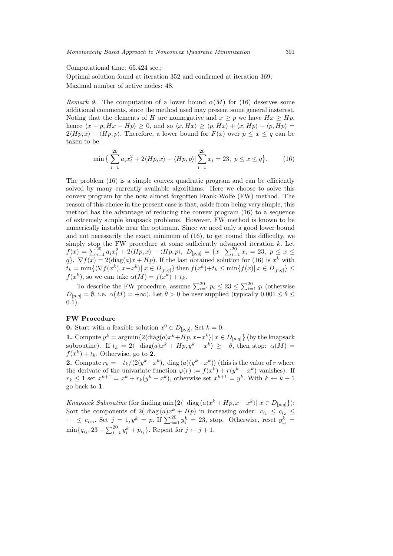#### Computational time: 65.424 sec.;

Optimal solution found at iteration 352 and confirmed at iteration 369; Maximal number of active nodes: 48.

*Remark 9.* The computation of a lower bound  $\alpha(M)$  for (16) deserves some additional comments, since the method used may present some general insterest. Noting that the elements of H are nonnegative and  $x \geq p$  we have  $Hx \geq Hp$ , hence  $\langle x - p, Hx - Hp \rangle \geq 0$ , and so  $\langle x, Hx \rangle \geq \langle p, Hx \rangle + \langle x, Hp \rangle - \langle p, Hp \rangle =$  $2\langle Hp, x\rangle - \langle Hp, p\rangle$ . Therefore, a lower bound for  $F(x)$  over  $p \leq x \leq q$  can be taken to be

$$
\min \left\{ \sum_{i=1}^{20} a_i x_i^2 + 2 \langle Hp, x \rangle - \langle Hp, p \rangle \right| \sum_{i=1}^{20} x_i = 23, \ p \le x \le q \right\}.
$$
 (16)

The problem (16) is a simple convex quadratic program and can be efficiently solved by many currently available algorithms. Here we choose to solve this convex program by the now almost forgotten Frank-Wolfe (FW) method. The reason of this choice in the present case is that, aside from being very simple, this method has the advantage of reducing the convex program (16) to a sequence of extremely simple knapsack problems. However, FW method is known to be numerically instable near the optimum. Since we need only a good lower bound and not necessarily the exact minimum of (16), to get round this difficulty, we simply stop the FW procedure at some sufficiently advanced iteration  $k$ . Let  $f(x) = \sum_{i=1}^{20} a_i x_i^2 + 2\langle Hp, x \rangle - \langle Hp, p \rangle, \ D_{[p,q]} = \{x \mid \sum_{i=1}^{20} x_i = 23, \ p \leq x \leq$  $q$ ,  $\nabla f(x) = 2(\text{diag}(a)x + Hp)$ . If the last obtained solution for (16) is  $x^k$  with  $t_k = \min\{\langle \nabla f(x^k), x - x^k \rangle | x \in D_{[p,q]}\}\$  then  $f(x^k) + t_k \leq \min\{f(x) | x \in D_{[p,q]}\}\leq$  $f(x^k)$ , so we can take  $\alpha(M) = f(x^k) + t_k$ .

To describe the FW procedure, assume  $\sum_{i=1}^{20} p_i \leq 23 \leq \sum_{i=1}^{20} q_i$  (otherwise  $D_{[p,q]} = \emptyset$ , i.e.  $\alpha(M) = +\infty$ ). Let  $\theta > 0$  be user supplied (typically  $0.001 \le \theta \le$ 0.1).

# **FW Procedure**

**0.** Start with a feasible solution  $x^0 \in D_{[p,q]}$ . Set  $k = 0$ .

**1.** Compute  $y^k = \operatorname{argmin} \{ 2 \langle \operatorname{diag}(a) x^k + H p, x - x^k \rangle | x \in D_{[p,q]} \}$  (by the knapsack subroutine). If  $t_k = 2\langle \text{diag}(a)x^k + Hp, y^k - x^k \rangle \ge -\theta$ , then stop:  $\alpha(M) =$  $f(x^k) + t_k$ . Otherwise, go to 2.

**2.** Compute  $r_k = -t_k/(2(y^k - x^k))$ , diag  $(a)(y^k - x^k))$  (this is the value of r where the derivate of the univariate function  $\varphi(r) := f(x^k) + r(y^k - x^k)$  vanishes). If  $r_k \leq 1$  set  $x^{k+1} = x^k + r_k(y^k - x^k)$ , otherwise set  $x^{k+1} = y^k$ . With  $k \leftarrow k+1$ go back to **1**.

*Knapsack Subroutine* (for finding min $\{2\langle \text{diag}(a)x^k + Hp, x - x^k \rangle \mid x \in D_{[p,q]}\}\)$ : Sort the components of 2( $\text{diag}(a)x^k + Hp$ ) in increasing order:  $c_{i_1} \leq c_{i_2} \leq$  $\cdots \leq c_{i_{20}}$ . Set  $j = 1, y^k = p$ . If  $\sum_{i=1}^{20} y_i^k = 23$ , stop. Otherwise, reset  $y_{i_j}^k =$  $\min\{q_{i_j}, 23 - \sum_{i=1}^{20} y_i^k + p_{i_j}\}\.$  Repeat for  $j \leftarrow j+1$ .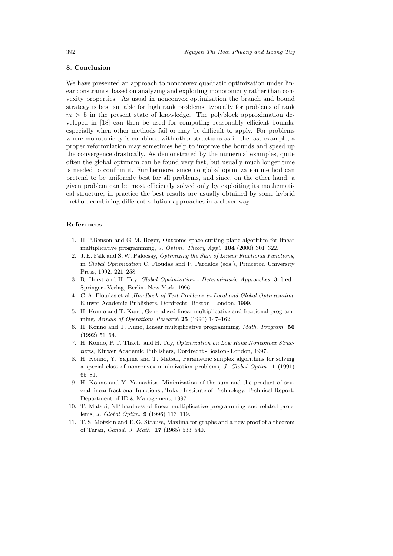# **8. Conclusion**

We have presented an approach to nonconvex quadratic optimization under linear constraints, based on analyzing and exploiting monotonicity rather than convexity properties. As usual in nonconvex optimization the branch and bound strategy is best suitable for high rank problems, typically for problems of rank  $m > 5$  in the present state of knowledge. The polyblock approximation developed in [18] can then be used for computing reasonably efficient bounds, especially when other methods fail or may be difficult to apply. For problems where monotonicity is combined with other structures as in the last example, a proper reformulation may sometimes help to improve the bounds and speed up the convergence drastically. As demonstrated by the numerical examples, quite often the global optimum can be found very fast, but usually much longer time is needed to confirm it. Furthermore, since no global optimization method can pretend to be uniformly best for all problems, and since, on the other hand, a given problem can be most efficiently solved only by exploiting its mathematical structure, in practice the best results are usually obtained by some hybrid method combining different solution approaches in a clever way.

#### **References**

- 1. H. P.Benson and G. M. Boger, Outcome-space cutting plane algorithm for linear multiplicative programming, *J. Optim. Theory Appl.* **104** (2000) 301–322.
- 2. J. E. Falk and S.W. Palocsay, *Optimizing the Sum of Linear Fractional Functions*, in *Global Optimization* C. Floudas and P. Pardalos (eds.), Princeton University Press, 1992, 221–258.
- 3. R. Horst and H. Tuy, *Global Optimization Deterministic Approaches*, 3rd ed., Springer - Verlag, Berlin - New York, 1996.
- 4. C. A. Floudas et al.,*Handbook of Test Problems in Local and Global Optimization*, Kluwer Academic Publishers, Dordrecht - Boston - London, 1999.
- 5. H. Konno and T. Kuno, Generalized linear multiplicative and fractional programming, *Annals of Operations Research* **25** (1990) 147–162.
- 6. H. Konno and T. Kuno, Linear multiplicative programming, *Math. Program.* **56** (1992) 51–64.
- 7. H. Konno, P. T. Thach, and H. Tuy, *Optimization on Low Rank Nonconvex Structures*, Kluwer Academic Publishers, Dordrecht - Boston - London, 1997.
- 8. H. Konno, Y. Yajima and T. Matsui, Parametric simplex algorithms for solving a special class of nonconvex minimization problems, *J. Global Optim.* **1** (1991) 65–81.
- 9. H. Konno and Y. Yamashita, Minimization of the sum and the product of several linear fractional functions', Tokyo Institute of Technology, Technical Report, Department of IE & Management, 1997.
- 10. T. Matsui, NP-hardness of linear multiplicative programming and related problems, *J. Global Optim.* **9** (1996) 113–119.
- 11. T. S. Motzkin and E. G. Strauss, Maxima for graphs and a new proof of a theorem of Turan, *Canad. J. Math.* **17** (1965) 533–540.